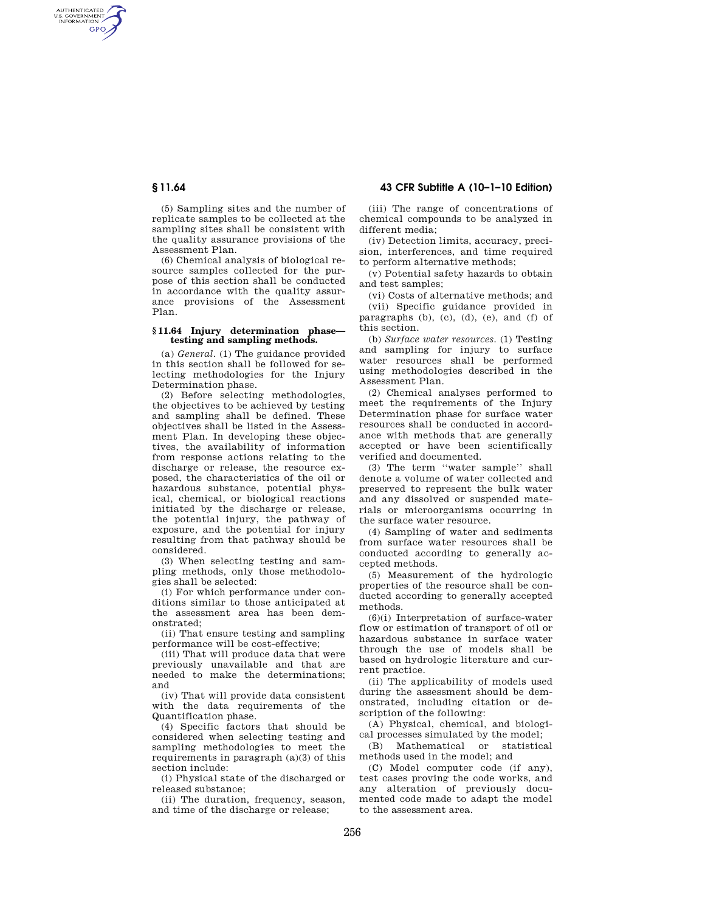AUTHENTICATED<br>U.S. GOVERNMENT<br>INFORMATION GPO

> (5) Sampling sites and the number of replicate samples to be collected at the sampling sites shall be consistent with the quality assurance provisions of the Assessment Plan.

> (6) Chemical analysis of biological resource samples collected for the purpose of this section shall be conducted in accordance with the quality assurance provisions of the Assessment Plan.

#### **§ 11.64 Injury determination phase testing and sampling methods.**

(a) *General.* (1) The guidance provided in this section shall be followed for selecting methodologies for the Injury Determination phase.

(2) Before selecting methodologies, the objectives to be achieved by testing and sampling shall be defined. These objectives shall be listed in the Assessment Plan. In developing these objectives, the availability of information from response actions relating to the discharge or release, the resource exposed, the characteristics of the oil or hazardous substance, potential physical, chemical, or biological reactions initiated by the discharge or release, the potential injury, the pathway of exposure, and the potential for injury resulting from that pathway should be considered.

(3) When selecting testing and sampling methods, only those methodologies shall be selected:

(i) For which performance under conditions similar to those anticipated at the assessment area has been demonstrated;

(ii) That ensure testing and sampling performance will be cost-effective;

(iii) That will produce data that were previously unavailable and that are needed to make the determinations; and

(iv) That will provide data consistent with the data requirements of the Quantification phase.

(4) Specific factors that should be considered when selecting testing and sampling methodologies to meet the requirements in paragraph (a)(3) of this section include:

(i) Physical state of the discharged or released substance;

(ii) The duration, frequency, season, and time of the discharge or release;

# **§ 11.64 43 CFR Subtitle A (10–1–10 Edition)**

(iii) The range of concentrations of chemical compounds to be analyzed in different media;

(iv) Detection limits, accuracy, precision, interferences, and time required to perform alternative methods;

(v) Potential safety hazards to obtain and test samples;

(vi) Costs of alternative methods; and (vii) Specific guidance provided in paragraphs (b), (c), (d), (e), and (f) of this section.

(b) *Surface water resources.* (1) Testing and sampling for injury to surface water resources shall be performed using methodologies described in the Assessment Plan.

(2) Chemical analyses performed to meet the requirements of the Injury Determination phase for surface water resources shall be conducted in accordance with methods that are generally accepted or have been scientifically verified and documented.

(3) The term ''water sample'' shall denote a volume of water collected and preserved to represent the bulk water and any dissolved or suspended materials or microorganisms occurring in the surface water resource.

(4) Sampling of water and sediments from surface water resources shall be conducted according to generally accepted methods.

(5) Measurement of the hydrologic properties of the resource shall be conducted according to generally accepted methods.

(6)(i) Interpretation of surface-water flow or estimation of transport of oil or hazardous substance in surface water through the use of models shall be based on hydrologic literature and current practice.

(ii) The applicability of models used during the assessment should be demonstrated, including citation or description of the following:

(A) Physical, chemical, and biological processes simulated by the model;

(B) Mathematical or statistical methods used in the model; and

(C) Model computer code (if any), test cases proving the code works, and any alteration of previously documented code made to adapt the model to the assessment area.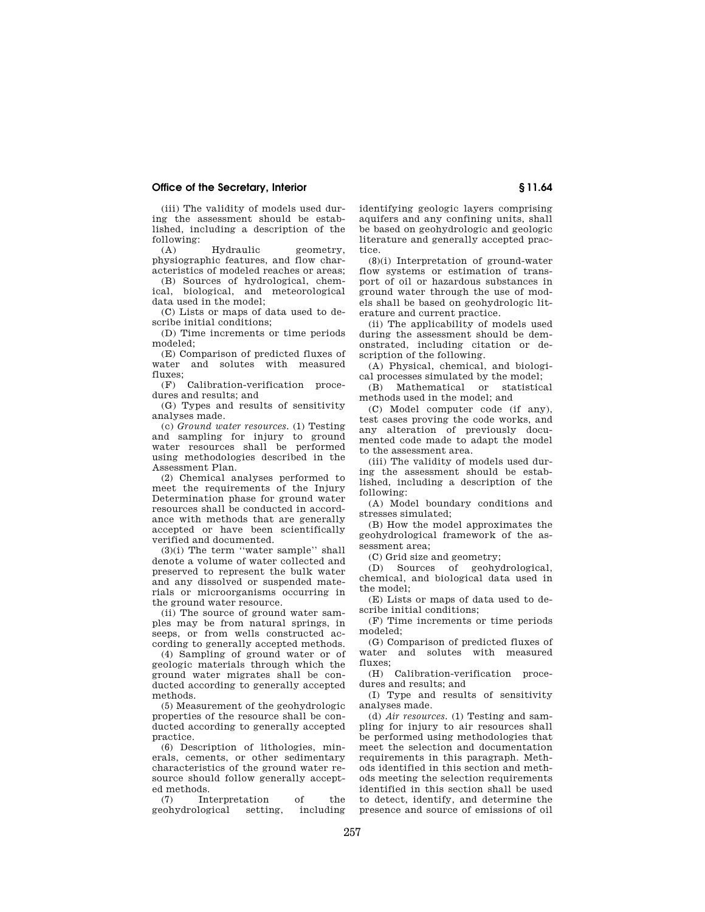# **Office of the Secretary, Interior § 11.64**

(iii) The validity of models used during the assessment should be established, including a description of the following:

(A) Hydraulic geometry, physiographic features, and flow characteristics of modeled reaches or areas;

(B) Sources of hydrological, chemical, biological, and meteorological data used in the model;

(C) Lists or maps of data used to describe initial conditions;

(D) Time increments or time periods modeled;

(E) Comparison of predicted fluxes of water and solutes with measured fluxes;

(F) Calibration-verification procedures and results; and

(G) Types and results of sensitivity analyses made.

(c) *Ground water resources.* (1) Testing and sampling for injury to ground water resources shall be performed using methodologies described in the Assessment Plan.

(2) Chemical analyses performed to meet the requirements of the Injury Determination phase for ground water resources shall be conducted in accordance with methods that are generally accepted or have been scientifically verified and documented.

(3)(i) The term ''water sample'' shall denote a volume of water collected and preserved to represent the bulk water and any dissolved or suspended materials or microorganisms occurring in the ground water resource.

(ii) The source of ground water samples may be from natural springs, in seeps, or from wells constructed according to generally accepted methods.

(4) Sampling of ground water or of geologic materials through which the ground water migrates shall be conducted according to generally accepted methods.

(5) Measurement of the geohydrologic properties of the resource shall be conducted according to generally accepted practice.

(6) Description of lithologies, minerals, cements, or other sedimentary characteristics of the ground water resource should follow generally accepted methods.

(7) Interpretation of the geohydrological

identifying geologic layers comprising aquifers and any confining units, shall be based on geohydrologic and geologic literature and generally accepted practice.

(8)(i) Interpretation of ground-water flow systems or estimation of transport of oil or hazardous substances in ground water through the use of models shall be based on geohydrologic literature and current practice.

(ii) The applicability of models used during the assessment should be demonstrated, including citation or description of the following.

(A) Physical, chemical, and biological processes simulated by the model;

(B) Mathematical or statistical methods used in the model; and

(C) Model computer code (if any), test cases proving the code works, and any alteration of previously documented code made to adapt the model to the assessment area.

(iii) The validity of models used during the assessment should be established, including a description of the following:

(A) Model boundary conditions and stresses simulated;

(B) How the model approximates the geohydrological framework of the assessment area;

(C) Grid size and geometry;

(D) Sources of geohydrological, chemical, and biological data used in the model;

(E) Lists or maps of data used to describe initial conditions;

(F) Time increments or time periods modeled;

(G) Comparison of predicted fluxes of water and solutes with measured fluxes;

(H) Calibration-verification procedures and results; and

(I) Type and results of sensitivity analyses made.

(d) *Air resources.* (1) Testing and sampling for injury to air resources shall be performed using methodologies that meet the selection and documentation requirements in this paragraph. Methods identified in this section and methods meeting the selection requirements identified in this section shall be used to detect, identify, and determine the presence and source of emissions of oil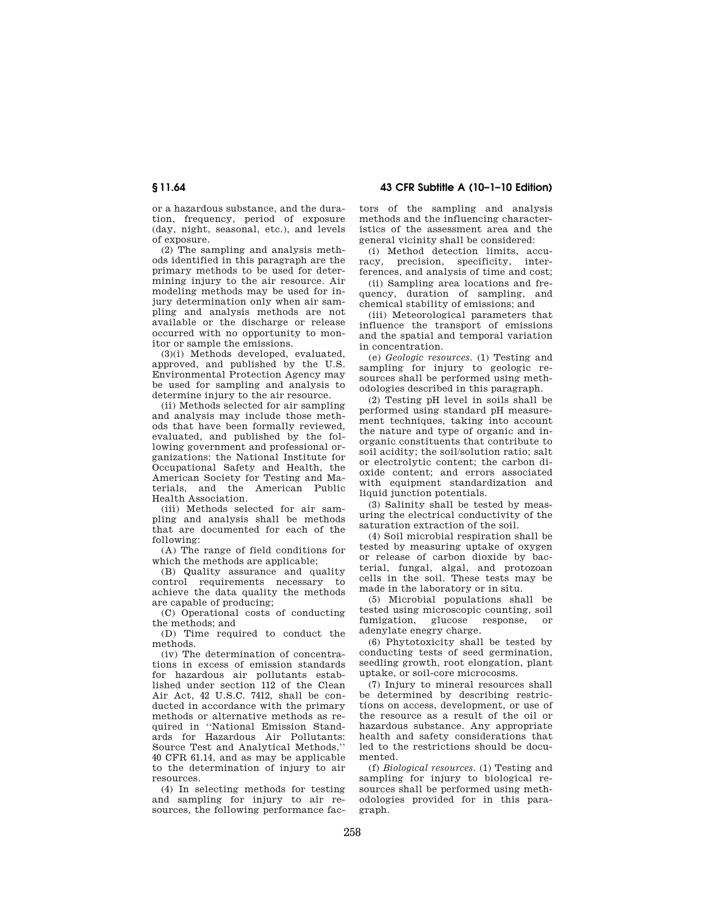or a hazardous substance, and the duration, frequency, period of exposure (day, night, seasonal, etc.), and levels of exposure.

(2) The sampling and analysis methods identified in this paragraph are the primary methods to be used for determining injury to the air resource. Air modeling methods may be used for injury determination only when air sampling and analysis methods are not available or the discharge or release occurred with no opportunity to monitor or sample the emissions.

(3)(i) Methods developed, evaluated, approved, and published by the U.S. Environmental Protection Agency may be used for sampling and analysis to determine injury to the air resource.

(ii) Methods selected for air sampling and analysis may include those methods that have been formally reviewed, evaluated, and published by the following government and professional organizations: the National Institute for Occupational Safety and Health, the American Society for Testing and Materials, and the American Public Health Association.

(iii) Methods selected for air sampling and analysis shall be methods that are documented for each of the following:

(A) The range of field conditions for which the methods are applicable;

(B) Quality assurance and quality control requirements necessary to achieve the data quality the methods are capable of producing;

(C) Operational costs of conducting the methods; and

(D) Time required to conduct the methods.

(iv) The determination of concentrations in excess of emission standards for hazardous air pollutants established under section 112 of the Clean Air Act, 42 U.S.C. 7412, shall be conducted in accordance with the primary methods or alternative methods as required in ''National Emission Standards for Hazardous Air Pollutants: Source Test and Analytical Methods,'' 40 CFR 61.14, and as may be applicable to the determination of injury to air resources.

(4) In selecting methods for testing and sampling for injury to air resources, the following performance fac-

**§ 11.64 43 CFR Subtitle A (10–1–10 Edition)** 

tors of the sampling and analysis methods and the influencing characteristics of the assessment area and the general vicinity shall be considered:

(i) Method detection limits, accuracy, precision, specificity, interferences, and analysis of time and cost;

(ii) Sampling area locations and frequency, duration of sampling, and chemical stability of emissions; and

(iii) Meteorological parameters that influence the transport of emissions and the spatial and temporal variation in concentration.

(e) *Geologic resources.* (1) Testing and sampling for injury to geologic resources shall be performed using methodologies described in this paragraph.

(2) Testing pH level in soils shall be performed using standard pH measurement techniques, taking into account the nature and type of organic and inorganic constituents that contribute to soil acidity; the soil/solution ratio; salt or electrolytic content; the carbon dioxide content; and errors associated with equipment standardization and liquid junction potentials.

(3) Salinity shall be tested by measuring the electrical conductivity of the saturation extraction of the soil.

(4) Soil microbial respiration shall be tested by measuring uptake of oxygen or release of carbon dioxide by bacterial, fungal, algal, and protozoan cells in the soil. These tests may be made in the laboratory or in situ.

(5) Microbial populations shall be tested using microscopic counting, soil fumigation, glucose response, or adenylate enegry charge.

(6) Phytotoxicity shall be tested by conducting tests of seed germination, seedling growth, root elongation, plant uptake, or soil-core microcosms.

(7) Injury to mineral resources shall be determined by describing restrictions on access, development, or use of the resource as a result of the oil or hazardous substance. Any appropriate health and safety considerations that led to the restrictions should be documented.

(f) *Biological resources.* (1) Testing and sampling for injury to biological resources shall be performed using methodologies provided for in this paragraph.